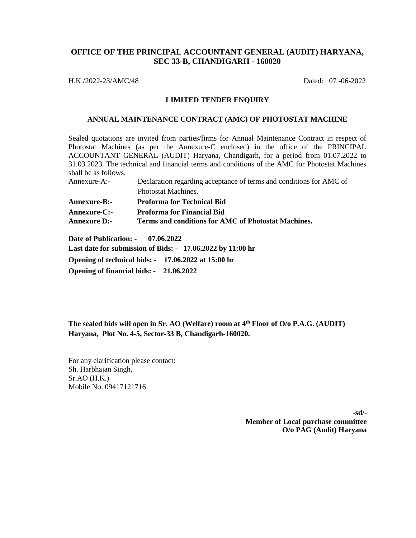## **OFFICE OF THE PRINCIPAL ACCOUNTANT GENERAL (AUDIT) HARYANA, SEC 33-B, CHANDIGARH - 160020**

H.K./2022-23/AMC/48 Dated: 07 -06-2022

#### **LIMITED TENDER ENQUIRY**

#### **ANNUAL MAINTENANCE CONTRACT (AMC) OF PHOTOSTAT MACHINE**

Sealed quotations are invited from parties/firms for Annual Maintenance Contract in respect of Photostat Machines (as per the Annexure-C enclosed) in the office of the PRINCIPAL ACCOUNTANT GENERAL (AUDIT) Haryana, Chandigarh, for a period from 01.07.2022 to 31.03.2023. The technical and financial terms and conditions of the AMC for Photostat Machines shall be as follows.

| Annexure-A:- | Declaration regarding acceptance of terms and conditions for AMC of |
|--------------|---------------------------------------------------------------------|
|              | Photostat Machines.                                                 |

| <b>Annexure-B:-</b> | <b>Proforma for Technical Bid</b>                   |
|---------------------|-----------------------------------------------------|
| <b>Annexure-C:-</b> | <b>Proforma for Financial Bid</b>                   |
| <b>Annexure D:-</b> | Terms and conditions for AMC of Photostat Machines. |

**Date of Publication: - 07.06.2022**

**Last date for submission of Bids: - 17.06.2022 by 11:00 hr** 

**Opening of technical bids: - 17.06.2022 at 15:00 hr**

**Opening of financial bids: - 21.06.2022**

**The sealed bids will open in Sr. AO (Welfare) room at 4 th Floor of O/o P.A.G. (AUDIT) Haryana, Plot No. 4-5, Sector-33 B, Chandigarh-160020.**

For any clarification please contact: Sh. Harbhajan Singh, Sr.AO (H.K.) Mobile No. 09417121716

> **-sd/- Member of Local purchase committee O/o PAG (Audit) Haryana**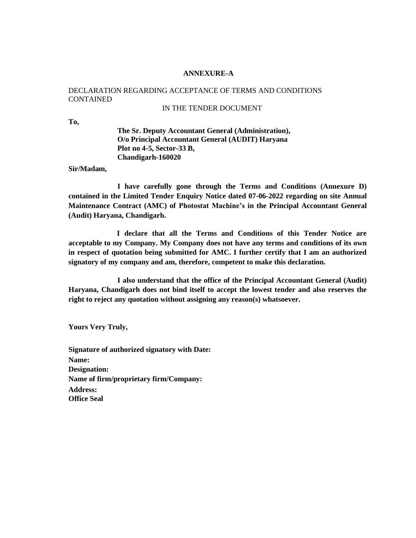#### **ANNEXURE-A**

# DECLARATION REGARDING ACCEPTANCE OF TERMS AND CONDITIONS CONTAINED

### IN THE TENDER DOCUMENT

**To,**

**The Sr. Deputy Accountant General (Administration), O/o Principal Accountant General (AUDIT) Haryana Plot no 4-5, Sector-33 B, Chandigarh-160020**

**Sir/Madam,**

**I have carefully gone through the Terms and Conditions (Annexure D) contained in the Limited Tender Enquiry Notice dated 07-06-2022 regarding on site Annual Maintenance Contract (AMC) of Photostat Machine's in the Principal Accountant General (Audit) Haryana, Chandigarh.**

**I declare that all the Terms and Conditions of this Tender Notice are acceptable to my Company. My Company does not have any terms and conditions of its own in respect of quotation being submitted for AMC. I further certify that I am an authorized signatory of my company and am, therefore, competent to make this declaration.**

**I also understand that the office of the Principal Accountant General (Audit) Haryana, Chandigarh does not bind itself to accept the lowest tender and also reserves the right to reject any quotation without assigning any reason(s) whatsoever.**

**Yours Very Truly,**

**Signature of authorized signatory with Date: Name: Designation: Name of firm/proprietary firm/Company: Address: Office Seal**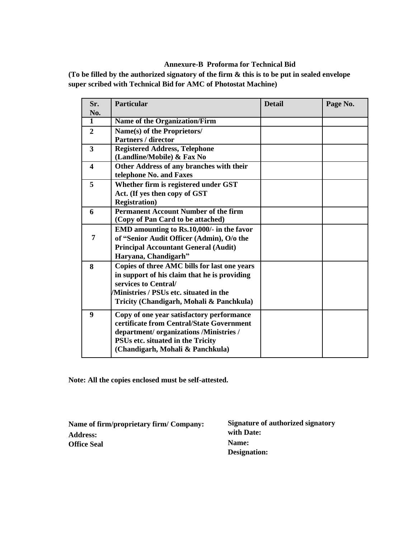## **Annexure-B Proforma for Technical Bid**

**(To be filled by the authorized signatory of the firm & this is to be put in sealed envelope super scribed with Technical Bid for AMC of Photostat Machine)**

| Sr.                     | <b>Particular</b>                            | <b>Detail</b> | Page No. |
|-------------------------|----------------------------------------------|---------------|----------|
| No.                     |                                              |               |          |
| 1                       | <b>Name of the Organization/Firm</b>         |               |          |
| $\overline{2}$          | Name(s) of the Proprietors/                  |               |          |
|                         | <b>Partners / director</b>                   |               |          |
| $\overline{\mathbf{3}}$ | <b>Registered Address, Telephone</b>         |               |          |
|                         | (Landline/Mobile) & Fax No                   |               |          |
| $\overline{\mathbf{4}}$ | Other Address of any branches with their     |               |          |
|                         | telephone No. and Faxes                      |               |          |
| 5                       | Whether firm is registered under GST         |               |          |
|                         | Act. (If yes then copy of GST                |               |          |
|                         | <b>Registration</b> )                        |               |          |
| 6                       | <b>Permanent Account Number of the firm</b>  |               |          |
|                         | (Copy of Pan Card to be attached)            |               |          |
|                         | EMD amounting to Rs.10,000/- in the favor    |               |          |
| 7                       | of "Senior Audit Officer (Admin), O/o the    |               |          |
|                         | <b>Principal Accountant General (Audit)</b>  |               |          |
|                         | Haryana, Chandigarh"                         |               |          |
| 8                       | Copies of three AMC bills for last one years |               |          |
|                         | in support of his claim that he is providing |               |          |
|                         | services to Central/                         |               |          |
|                         | Ministries / PSUs etc. situated in the       |               |          |
|                         | Tricity (Chandigarh, Mohali & Panchkula)     |               |          |
| 9                       | Copy of one year satisfactory performance    |               |          |
|                         | certificate from Central/State Government    |               |          |
|                         | department/organizations/Ministries/         |               |          |
|                         | PSUs etc. situated in the Tricity            |               |          |
|                         | (Chandigarh, Mohali & Panchkula)             |               |          |

**Note: All the copies enclosed must be self-attested.**

| Name of firm/proprietary firm/ Company: | Signature of authorized signatory |  |  |
|-----------------------------------------|-----------------------------------|--|--|
| <b>Address:</b>                         | with Date:                        |  |  |
| <b>Office Seal</b>                      | Name:                             |  |  |
|                                         | Designation:                      |  |  |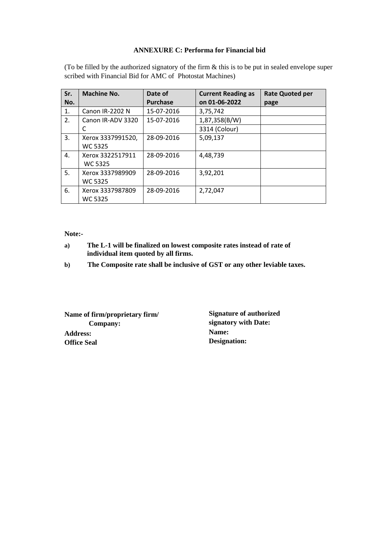#### **ANNEXURE C: Performa for Financial bid**

(To be filled by the authorized signatory of the firm & this is to be put in sealed envelope super scribed with Financial Bid for AMC of Photostat Machines)

| Sr. | Machine No.                         | Date of         | <b>Current Reading as</b> | <b>Rate Quoted per</b> |
|-----|-------------------------------------|-----------------|---------------------------|------------------------|
| No. |                                     | <b>Purchase</b> | on 01-06-2022             | page                   |
| 1.  | Canon IR-2202 N                     | 15-07-2016      | 3,75,742                  |                        |
| 2.  | Canon IR-ADV 3320                   | 15-07-2016      | 1,87,358(B/W)             |                        |
|     | C                                   |                 | 3314 (Colour)             |                        |
| 3.  | Xerox 3337991520,<br><b>WC 5325</b> | 28-09-2016      | 5,09,137                  |                        |
| 4.  | Xerox 3322517911<br><b>WC 5325</b>  | 28-09-2016      | 4,48,739                  |                        |
| 5.  | Xerox 3337989909<br><b>WC 5325</b>  | 28-09-2016      | 3,92,201                  |                        |
| 6.  | Xerox 3337987809<br><b>WC 5325</b>  | 28-09-2016      | 2,72,047                  |                        |

**Note:-**

- **a) The L-1 will be finalized on lowest composite rates instead of rate of individual item quoted by all firms.**
- **b) The Composite rate shall be inclusive of GST or any other leviable taxes.**

**Name of firm/proprietary firm/ Company: Address: Office Seal**

**Signature of authorized signatory with Date: Name: Designation:**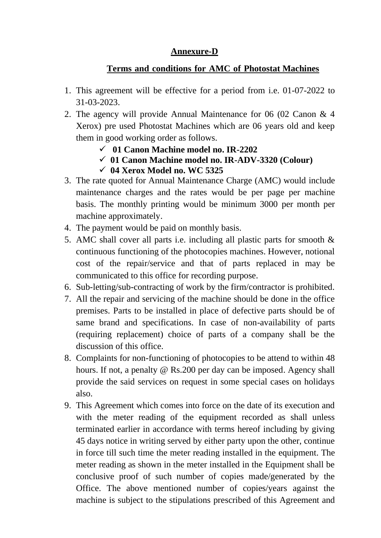# **Annexure-D**

# **Terms and conditions for AMC of Photostat Machines**

- 1. This agreement will be effective for a period from i.e. 01-07-2022 to 31-03-2023.
- 2. The agency will provide Annual Maintenance for 06 (02 Canon & 4 Xerox) pre used Photostat Machines which are 06 years old and keep them in good working order as follows.
	- ✓ **01 Canon Machine model no. IR-2202**
	- ✓ **01 Canon Machine model no. IR-ADV-3320 (Colour)**
	- ✓ **04 Xerox Model no. WC 5325**
- 3. The rate quoted for Annual Maintenance Charge (AMC) would include maintenance charges and the rates would be per page per machine basis. The monthly printing would be minimum 3000 per month per machine approximately.
- 4. The payment would be paid on monthly basis.
- 5. AMC shall cover all parts i.e. including all plastic parts for smooth & continuous functioning of the photocopies machines. However, notional cost of the repair/service and that of parts replaced in may be communicated to this office for recording purpose.
- 6. Sub-letting/sub-contracting of work by the firm/contractor is prohibited.
- 7. All the repair and servicing of the machine should be done in the office premises. Parts to be installed in place of defective parts should be of same brand and specifications. In case of non-availability of parts (requiring replacement) choice of parts of a company shall be the discussion of this office.
- 8. Complaints for non-functioning of photocopies to be attend to within 48 hours. If not, a penalty @ Rs.200 per day can be imposed. Agency shall provide the said services on request in some special cases on holidays also.
- 9. This Agreement which comes into force on the date of its execution and with the meter reading of the equipment recorded as shall unless terminated earlier in accordance with terms hereof including by giving 45 days notice in writing served by either party upon the other, continue in force till such time the meter reading installed in the equipment. The meter reading as shown in the meter installed in the Equipment shall be conclusive proof of such number of copies made/generated by the Office. The above mentioned number of copies/years against the machine is subject to the stipulations prescribed of this Agreement and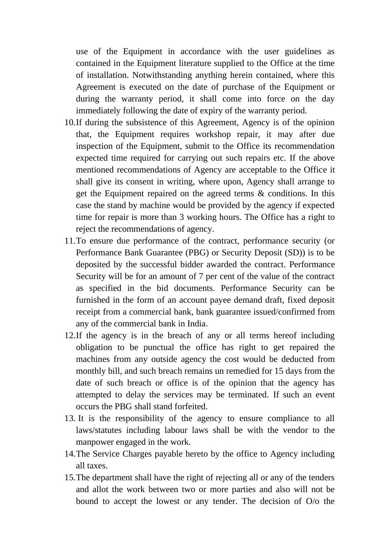use of the Equipment in accordance with the user guidelines as contained in the Equipment literature supplied to the Office at the time of installation. Notwithstanding anything herein contained, where this Agreement is executed on the date of purchase of the Equipment or during the warranty period, it shall come into force on the day immediately following the date of expiry of the warranty period.

- 10.If during the subsistence of this Agreement, Agency is of the opinion that, the Equipment requires workshop repair, it may after due inspection of the Equipment, submit to the Office its recommendation expected time required for carrying out such repairs etc. If the above mentioned recommendations of Agency are acceptable to the Office it shall give its consent in writing, where upon, Agency shall arrange to get the Equipment repaired on the agreed terms & conditions. In this case the stand by machine would be provided by the agency if expected time for repair is more than 3 working hours. The Office has a right to reject the recommendations of agency.
- 11.To ensure due performance of the contract, performance security (or Performance Bank Guarantee (PBG) or Security Deposit (SD)) is to be deposited by the successful bidder awarded the contract. Performance Security will be for an amount of 7 per cent of the value of the contract as specified in the bid documents. Performance Security can be furnished in the form of an account payee demand draft, fixed deposit receipt from a commercial bank, bank guarantee issued/confirmed from any of the commercial bank in India.
- 12.If the agency is in the breach of any or all terms hereof including obligation to be punctual the office has right to get repaired the machines from any outside agency the cost would be deducted from monthly bill, and such breach remains un remedied for 15 days from the date of such breach or office is of the opinion that the agency has attempted to delay the services may be terminated. If such an event occurs the PBG shall stand forfeited.
- 13. It is the responsibility of the agency to ensure compliance to all laws/statutes including labour laws shall be with the vendor to the manpower engaged in the work.
- 14.The Service Charges payable hereto by the office to Agency including all taxes.
- 15.The department shall have the right of rejecting all or any of the tenders and allot the work between two or more parties and also will not be bound to accept the lowest or any tender. The decision of O/o the